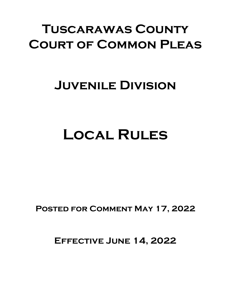# **Tuscarawas County Court of Common Pleas**

## **Juvenile Division**

# **Local Rules**

**Posted for Comment May 17, 2022**

**Effective June 14, 2022**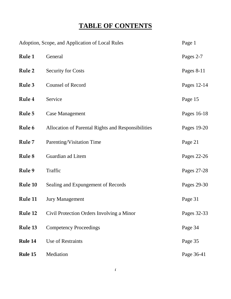## **TABLE OF CONTENTS**

| Adoption, Scope, and Application of Local Rules |                                                    | Page 1      |
|-------------------------------------------------|----------------------------------------------------|-------------|
| Rule 1                                          | General                                            | Pages 2-7   |
| Rule 2                                          | <b>Security for Costs</b>                          | Pages 8-11  |
| Rule 3                                          | <b>Counsel of Record</b>                           | Pages 12-14 |
| Rule 4                                          | Service                                            | Page 15     |
| Rule 5                                          | <b>Case Management</b>                             | Pages 16-18 |
| Rule 6                                          | Allocation of Parental Rights and Responsibilities | Pages 19-20 |
| Rule 7                                          | Parenting/Visitation Time                          | Page 21     |
| Rule 8                                          | Guardian ad Litem                                  | Pages 22-26 |
| Rule 9                                          | Traffic                                            | Pages 27-28 |
| Rule 10                                         | Sealing and Expungement of Records                 | Pages 29-30 |
| Rule 11                                         | <b>Jury Management</b>                             | Page 31     |
| Rule 12                                         | Civil Protection Orders Involving a Minor          | Pages 32-33 |
| Rule 13                                         | <b>Competency Proceedings</b>                      | Page 34     |
| Rule 14                                         | <b>Use of Restraints</b>                           | Page 35     |
| Rule 15                                         | Mediation                                          | Page 36-41  |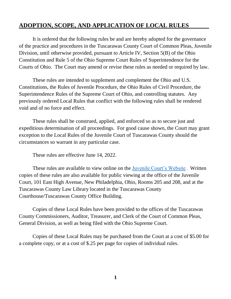## **ADOPTION, SCOPE, AND APPLICATION OF LOCAL RULES**

It is ordered that the following rules be and are hereby adopted for the governance of the practice and procedures in the Tuscarawas County Court of Common Pleas, Juvenile Division, until otherwise provided, pursuant to Article IV, Section 5(B) of the Ohio Constitution and Rule 5 of the Ohio Supreme Court Rules of Superintendence for the Courts of Ohio. The Court may amend or revise these rules as needed or required by law.

These rules are intended to supplement and complement the Ohio and U.S. Constitutions, the Rules of Juvenile Procedure, the Ohio Rules of Civil Procedure, the Superintendence Rules of the Supreme Court of Ohio, and controlling statutes. Any previously ordered Local Rules that conflict with the following rules shall be rendered void and of no force and effect.

These rules shall be construed, applied, and enforced so as to secure just and expeditious determination of all proceedings. For good cause shown, the Court may grant exception to the Local Rules of the Juvenile Court of Tuscarawas County should the circumstances so warrant in any particular case.

These rules are effective June 14, 2022.

These rules are available to view online on the [Juvenile Court's Website](http://www.co.tuscarawas.oh.us/courts/about-juvenile-court) . Written copies of these rules are also available for public viewing at the office of the Juvenile Court, 101 East High Avenue, New Philadelphia, Ohio, Rooms 205 and 208, and at the Tuscarawas County Law Library located in the Tuscarawas County Courthouse/Tuscarawas County Office Building.

Copies of these Local Rules have been provided to the offices of the Tuscarawas County Commissioners, Auditor, Treasurer, and Clerk of the Court of Common Pleas, General Division, as well as being filed with the Ohio Supreme Court.

Copies of these Local Rules may be purchased from the Court at a cost of \$5.00 for a complete copy, or at a cost of \$.25 per page for copies of individual rules.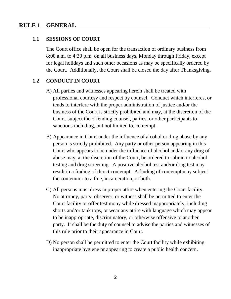## **RULE 1 GENERAL**

#### **1.1 SESSIONS OF COURT**

The Court office shall be open for the transaction of ordinary business from 8:00 a.m. to 4:30 p.m. on all business days, Monday through Friday, except for legal holidays and such other occasions as may be specifically ordered by the Court. Additionally, the Court shall be closed the day after Thanksgiving.

#### **1.2 CONDUCT IN COURT**

- A) All parties and witnesses appearing herein shall be treated with professional courtesy and respect by counsel. Conduct which interferes, or tends to interfere with the proper administration of justice and/or the business of the Court is strictly prohibited and may, at the discretion of the Court, subject the offending counsel, parties, or other participants to sanctions including, but not limited to, contempt.
- B) Appearance in Court under the influence of alcohol or drug abuse by any person is strictly prohibited. Any party or other person appearing in this Court who appears to be under the influence of alcohol and/or any drug of abuse may, at the discretion of the Court, be ordered to submit to alcohol testing and drug screening. A positive alcohol test and/or drug test may result in a finding of direct contempt. A finding of contempt may subject the contemnor to a fine, incarceration, or both.
- C) All persons must dress in proper attire when entering the Court facility. No attorney, party, observer, or witness shall be permitted to enter the Court facility or offer testimony while dressed inappropriately, including shorts and/or tank tops, or wear any attire with language which may appear to be inappropriate, discriminatory, or otherwise offensive to another party. It shall be the duty of counsel to advise the parties and witnesses of this rule prior to their appearance in Court.
- D) No person shall be permitted to enter the Court facility while exhibiting inappropriate hygiene or appearing to create a public health concern.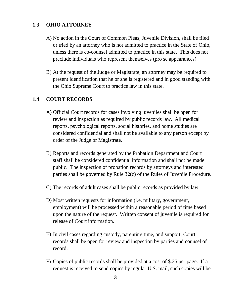## **1.3 OHIO ATTORNEY**

- A) No action in the Court of Common Pleas, Juvenile Division, shall be filed or tried by an attorney who is not admitted to practice in the State of Ohio, unless there is co-counsel admitted to practice in this state. This does not preclude individuals who represent themselves (pro se appearances).
- B) At the request of the Judge or Magistrate, an attorney may be required to present identification that he or she is registered and in good standing with the Ohio Supreme Court to practice law in this state.

## **1.4 COURT RECORDS**

- A) Official Court records for cases involving juveniles shall be open for review and inspection as required by public records law. All medical reports, psychological reports, social histories, and home studies are considered confidential and shall not be available to any person except by order of the Judge or Magistrate.
- B) Reports and records generated by the Probation Department and Court staff shall be considered confidential information and shall not be made public. The inspection of probation records by attorneys and interested parties shall be governed by Rule 32(c) of the Rules of Juvenile Procedure.
- C) The records of adult cases shall be public records as provided by law.
- D) Most written requests for information (i.e. military, government, employment) will be processed within a reasonable period of time based upon the nature of the request. Written consent of juvenile is required for release of Court information.
- E) In civil cases regarding custody, parenting time, and support, Court records shall be open for review and inspection by parties and counsel of record.
- F) Copies of public records shall be provided at a cost of \$.25 per page. If a request is received to send copies by regular U.S. mail, such copies will be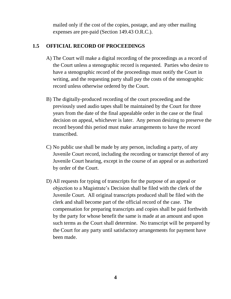mailed only if the cost of the copies, postage, and any other mailing expenses are pre-paid (Section 149.43 O.R.C.).

## **1.5 OFFICIAL RECORD OF PROCEEDINGS**

- A) The Court will make a digital recording of the proceedings as a record of the Court unless a stenographic record is requested. Parties who desire to have a stenographic record of the proceedings must notify the Court in writing, and the requesting party shall pay the costs of the stenographic record unless otherwise ordered by the Court.
- B) The digitally-produced recording of the court proceeding and the previously used audio tapes shall be maintained by the Court for three years from the date of the final appealable order in the case or the final decision on appeal, whichever is later. Any person desiring to preserve the record beyond this period must make arrangements to have the record transcribed.
- C) No public use shall be made by any person, including a party, of any Juvenile Court record, including the recording or transcript thereof of any Juvenile Court hearing, except in the course of an appeal or as authorized by order of the Court.
- D) All requests for typing of transcripts for the purpose of an appeal or objection to a Magistrate's Decision shall be filed with the clerk of the Juvenile Court. All original transcripts produced shall be filed with the clerk and shall become part of the official record of the case. The compensation for preparing transcripts and copies shall be paid forthwith by the party for whose benefit the same is made at an amount and upon such terms as the Court shall determine. No transcript will be prepared by the Court for any party until satisfactory arrangements for payment have been made.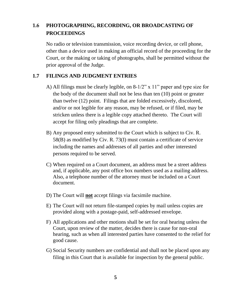## **1.6 PHOTOGRAPHING, RECORDING, OR BROADCASTING OF PROCEEDINGS**

No radio or television transmission, voice recording device, or cell phone, other than a device used in making an official record of the proceeding for the Court, or the making or taking of photographs, shall be permitted without the prior approval of the Judge.

#### **1.7 FILINGS AND JUDGMENT ENTRIES**

- A) All filings must be clearly legible, on 8-1/2" x 11" paper and type size for the body of the document shall not be less than ten (10) point or greater than twelve (12) point. Filings that are folded excessively, discolored, and/or or not legible for any reason, may be refused, or if filed, may be stricken unless there is a legible copy attached thereto. The Court will accept for filing only pleadings that are complete.
- B) Any proposed entry submitted to the Court which is subject to Civ. R. 58(B) as modified by Civ. R. 73(I) must contain a certificate of service including the names and addresses of all parties and other interested persons required to be served.
- C) When required on a Court document, an address must be a street address and, if applicable, any post office box numbers used as a mailing address. Also, a telephone number of the attorney must be included on a Court document.
- D) The Court will **not** accept filings via facsimile machine.
- E) The Court will not return file-stamped copies by mail unless copies are provided along with a postage-paid, self-addressed envelope.
- F) All applications and other motions shall be set for oral hearing unless the Court, upon review of the matter, decides there is cause for non-oral hearing, such as when all interested parties have consented to the relief for good cause.
- G) Social Security numbers are confidential and shall not be placed upon any filing in this Court that is available for inspection by the general public.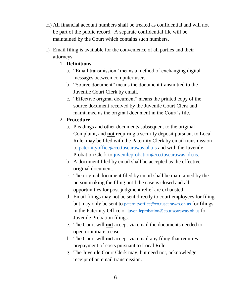- H) All financial account numbers shall be treated as confidential and will not be part of the public record. A separate confidential file will be maintained by the Court which contains such numbers.
- I) Email filing is available for the convenience of all parties and their attorneys.
	- 1. **Definitions**
		- a. "Email transmission" means a method of exchanging digital messages between computer users.
		- b. "Source document" means the document transmitted to the Juvenile Court Clerk by email.
		- c. "Effective original document" means the printed copy of the source document received by the Juvenile Court Clerk and maintained as the original document in the Court's file.

#### 2. **Procedure**

- a. Pleadings and other documents subsequent to the original Complaint, and **not** requiring a security deposit pursuant to Local Rule, may be filed with the Paternity Clerk by email transmission to [paternityoffice@co.tuscarawas.oh.us](mailto:paternityoffice@co.tuscarawas.oh.us) and with the Juvenile Probation Clerk to [juvenileprobation@co.tuscarawas.oh.us.](mailto:juvenileprobation@co.tuscarawas.oh.us)
- b. A document filed by email shall be accepted as the effective original document.
- c. The original document filed by email shall be maintained by the person making the filing until the case is closed and all opportunities for post-judgment relief are exhausted.
- d. Email filings may not be sent directly to court employees for filing but may only be sent to [paternityoffice@co.tuscarawas.oh.us](mailto:paternityoffice@co.tuscarawas.oh.us) for filings in the Paternity Office or [juvenileprobation@co.tuscarawas.oh.us](mailto:juvenileprobation@co.tuscarawas.oh.us) for Juvenile Probation filings.
- e. The Court will **not** accept via email the documents needed to open or initiate a case.
- f. The Court will **not** accept via email any filing that requires prepayment of costs pursuant to Local Rule.
- g. The Juvenile Court Clerk may, but need not, acknowledge receipt of an email transmission.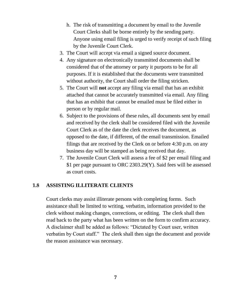- h. The risk of transmitting a document by email to the Juvenile Court Clerks shall be borne entirely by the sending party. Anyone using email filing is urged to verify receipt of such filing by the Juvenile Court Clerk.
- 3. The Court will accept via email a signed source document.
- 4. Any signature on electronically transmitted documents shall be considered that of the attorney or party it purports to be for all purposes. If it is established that the documents were transmitted without authority, the Court shall order the filing stricken.
- 5. The Court will **not** accept any filing via email that has an exhibit attached that cannot be accurately transmitted via email. Any filing that has an exhibit that cannot be emailed must be filed either in person or by regular mail.
- 6. Subject to the provisions of these rules, all documents sent by email and received by the clerk shall be considered filed with the Juvenile Court Clerk as of the date the clerk receives the document, as opposed to the date, if different, of the email transmission. Emailed filings that are received by the Clerk on or before 4:30 p.m. on any business day will be stamped as being received that day.
- 7. The Juvenile Court Clerk will assess a fee of \$2 per email filing and \$1 per page pursuant to ORC 2303.29(Y). Said fees will be assessed as court costs.

## **1.8 ASSISTING ILLITERATE CLIENTS**

Court clerks may assist illiterate persons with completing forms. Such assistance shall be limited to writing, verbatim, information provided to the clerk without making changes, corrections, or editing. The clerk shall then read back to the party what has been written on the form to confirm accuracy. A disclaimer shall be added as follows: "Dictated by Court user, written verbatim by Court staff." The clerk shall then sign the document and provide the reason assistance was necessary.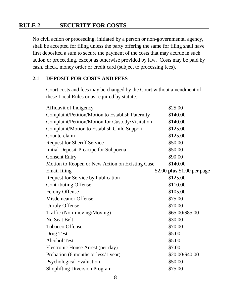## **RULE 2 SECURITY FOR COSTS**

No civil action or proceeding, initiated by a person or non-governmental agency, shall be accepted for filing unless the party offering the same for filing shall have first deposited a sum to secure the payment of the costs that may accrue in such action or proceeding, except as otherwise provided by law. Costs may be paid by cash, check, money order or credit card (subject to processing fees).

#### **2.1 DEPOSIT FOR COSTS AND FEES**

Court costs and fees may be changed by the Court without amendment of these Local Rules or as required by statute.

| Affidavit of Indigency                           | \$25.00                     |
|--------------------------------------------------|-----------------------------|
| Complaint/Petition/Motion to Establish Paternity | \$140.00                    |
| Complaint/Petition/Motion for Custody/Visitation | \$140.00                    |
| Complaint/Motion to Establish Child Support      | \$125.00                    |
| Counterclaim                                     | \$125.00                    |
| <b>Request for Sheriff Service</b>               | \$50.00                     |
| Initial Deposit-Preacipe for Subpoena            | \$50.00                     |
| <b>Consent Entry</b>                             | \$90.00                     |
| Motion to Reopen or New Action on Existing Case  | \$140.00                    |
| Email filing                                     | \$2.00 plus \$1.00 per page |
| <b>Request for Service by Publication</b>        | \$125.00                    |
| <b>Contributing Offense</b>                      | \$110.00                    |
| <b>Felony Offense</b>                            | \$105.00                    |
| <b>Misdemeanor Offense</b>                       | \$75.00                     |
| <b>Unruly Offense</b>                            | \$70.00                     |
| Traffic (Non-moving/Moving)                      | \$65.00/\$85.00             |
| <b>No Seat Belt</b>                              | \$30.00                     |
| <b>Tobacco Offense</b>                           | \$70.00                     |
| Drug Test                                        | \$5.00                      |
| <b>Alcohol Test</b>                              | \$5.00                      |
| Electronic House Arrest (per day)                | \$7.00                      |
| Probation (6 months or less/1 year)              | \$20.00/\$40.00             |
| <b>Psychological Evaluation</b>                  | \$50.00                     |
| <b>Shoplifting Diversion Program</b>             | \$75.00                     |
|                                                  |                             |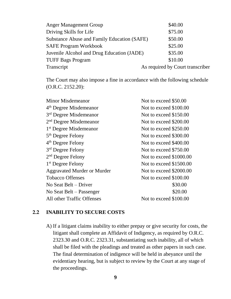| <b>Anger Management Group</b>                      | \$40.00                          |
|----------------------------------------------------|----------------------------------|
| Driving Skills for Life                            | \$75.00                          |
| <b>Substance Abuse and Family Education (SAFE)</b> | \$50.00                          |
| <b>SAFE Program Workbook</b>                       | \$25.00                          |
| Juvenile Alcohol and Drug Education (JADE)         | \$35.00                          |
| <b>TUFF Bags Program</b>                           | \$10.00                          |
| Transcript                                         | As required by Court transcriber |

The Court may also impose a fine in accordance with the following schedule (O.R.C. 2152.20):

| <b>Minor Misdemeanor</b>           | Not to exceed \$50.00   |
|------------------------------------|-------------------------|
| 4 <sup>th</sup> Degree Misdemeanor | Not to exceed \$100.00  |
| 3 <sup>rd</sup> Degree Misdemeanor | Not to exceed \$150.00  |
| $2nd$ Degree Misdemeanor           | Not to exceed \$200.00  |
| 1 <sup>st</sup> Degree Misdemeanor | Not to exceed \$250.00  |
| 5 <sup>th</sup> Degree Felony      | Not to exceed \$300.00  |
| $4th$ Degree Felony                | Not to exceed \$400.00  |
| 3 <sup>rd</sup> Degree Felony      | Not to exceed \$750.00  |
| $2nd$ Degree Felony                | Not to exceed \$1000.00 |
| $1st$ Degree Felony                | Not to exceed \$1500.00 |
| <b>Aggravated Murder or Murder</b> | Not to exceed \$2000.00 |
| <b>Tobacco Offenses</b>            | Not to exceed \$100.00  |
| No Seat Belt – Driver              | \$30.00                 |
| No Seat Belt – Passenger           | \$20.00                 |
| All other Traffic Offenses         | Not to exceed \$100.00  |
|                                    |                         |

#### **2.2 INABILITY TO SECURE COSTS**

A) If a litigant claims inability to either prepay or give security for costs, the litigant shall complete an Affidavit of Indigency, as required by O.R.C. 2323.30 and O.R.C. 2323.31, substantiating such inability, all of which shall be filed with the pleadings and treated as other papers in such case. The final determination of indigence will be held in abeyance until the evidentiary hearing, but is subject to review by the Court at any stage of the proceedings.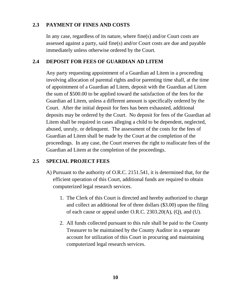## **2.3 PAYMENT OF FINES AND COSTS**

In any case, regardless of its nature, where fine(s) and/or Court costs are assessed against a party, said fine(s) and/or Court costs are due and payable immediately unless otherwise ordered by the Court.

## **2.4 DEPOSIT FOR FEES OF GUARDIAN AD LITEM**

Any party requesting appointment of a Guardian ad Litem in a proceeding involving allocation of parental rights and/or parenting time shall, at the time of appointment of a Guardian ad Litem, deposit with the Guardian ad Litem the sum of \$500.00 to be applied toward the satisfaction of the fees for the Guardian ad Litem, unless a different amount is specifically ordered by the Court. After the initial deposit for fees has been exhausted, additional deposits may be ordered by the Court. No deposit for fees of the Guardian ad Litem shall be required in cases alleging a child to be dependent, neglected, abused, unruly, or delinquent. The assessment of the costs for the fees of Guardian ad Litem shall be made by the Court at the completion of the proceedings. In any case, the Court reserves the right to reallocate fees of the Guardian ad Litem at the completion of the proceedings.

## **2.5 SPECIAL PROJECT FEES**

- A) Pursuant to the authority of O.R.C. 2151.541, it is determined that, for the efficient operation of this Court, additional funds are required to obtain computerized legal research services.
	- 1. The Clerk of this Court is directed and hereby authorized to charge and collect an additional fee of three dollars (\$3.00) upon the filing of each cause or appeal under O.R.C. 2303.20(A), (Q), and (U).
	- 2. All funds collected pursuant to this rule shall be paid to the County Treasurer to be maintained by the County Auditor in a separate account for utilization of this Court in procuring and maintaining computerized legal research services.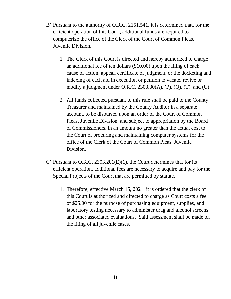- B) Pursuant to the authority of O.R.C. 2151.541, it is determined that, for the efficient operation of this Court, additional funds are required to computerize the office of the Clerk of the Court of Common Pleas, Juvenile Division.
	- 1. The Clerk of this Court is directed and hereby authorized to charge an additional fee of ten dollars (\$10.00) upon the filing of each cause of action, appeal, certificate of judgment, or the docketing and indexing of each aid in execution or petition to vacate, revive or modify a judgment under O.R.C.  $2303.30(A)$ , (P), (Q), (T), and (U).
	- 2. All funds collected pursuant to this rule shall be paid to the County Treasurer and maintained by the County Auditor in a separate account, to be disbursed upon an order of the Court of Common Pleas, Juvenile Division, and subject to appropriation by the Board of Commissioners, in an amount no greater than the actual cost to the Court of procuring and maintaining computer systems for the office of the Clerk of the Court of Common Pleas, Juvenile Division.
- C) Pursuant to O.R.C. 2303.201(E)(1), the Court determines that for its efficient operation, additional fees are necessary to acquire and pay for the Special Projects of the Court that are permitted by statute.
	- 1. Therefore, effective March 15, 2021, it is ordered that the clerk of this Court is authorized and directed to charge as Court costs a fee of \$25.00 for the purpose of purchasing equipment, supplies, and laboratory testing necessary to administer drug and alcohol screens and other associated evaluations. Said assessment shall be made on the filing of all juvenile cases.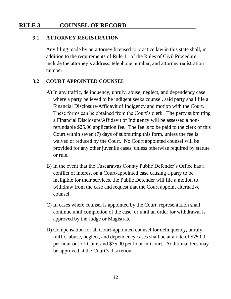## **RULE 3 COUNSEL OF RECORD**

#### **3.1 ATTORNEY REGISTRATION**

Any filing made by an attorney licensed to practice law in this state shall, in addition to the requirements of Rule 11 of the Rules of Civil Procedure, include the attorney's address, telephone number, and attorney registration number.

#### **3.2 COURT APPOINTED COUNSEL**

- A) In any traffic, delinquency, unruly, abuse, neglect, and dependency case where a party believed to be indigent seeks counsel, said party shall file a Financial Disclosure/Affidavit of Indigency and motion with the Court. These forms can be obtained from the Court's clerk. The party submitting a Financial Disclosure/Affidavit of Indigency will be assessed a nonrefundable \$25.00 application fee. The fee is to be paid to the clerk of this Court within seven (7) days of submitting this form, unless the fee is waived or reduced by the Court. No Court appointed counsel will be provided for any other juvenile cases, unless otherwise required by statute or rule.
- B) In the event that the Tuscarawas County Public Defender's Office has a conflict of interest on a Court-appointed case causing a party to be ineligible for their services, the Public Defender will file a motion to withdraw from the case and request that the Court appoint alternative counsel.
- C) In cases where counsel is appointed by the Court, representation shall continue until completion of the case, or until an order for withdrawal is approved by the Judge or Magistrate.
- D) Compensation for all Court-appointed counsel for delinquency, unruly, traffic, abuse, neglect, and dependency cases shall be at a rate of \$75.00 per hour out-of-Court and \$75.00 per hour in-Court. Additional fees may be approved at the Court's discretion.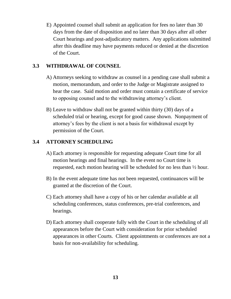E) Appointed counsel shall submit an application for fees no later than 30 days from the date of disposition and no later than 30 days after all other Court hearings and post-adjudicatory matters. Any applications submitted after this deadline may have payments reduced or denied at the discretion of the Court.

## **3.3 WITHDRAWAL OF COUNSEL**

- A) Attorneys seeking to withdraw as counsel in a pending case shall submit a motion, memorandum, and order to the Judge or Magistrate assigned to hear the case. Said motion and order must contain a certificate of service to opposing counsel and to the withdrawing attorney's client.
- B) Leave to withdraw shall not be granted within thirty (30) days of a scheduled trial or hearing, except for good cause shown. Nonpayment of attorney's fees by the client is not a basis for withdrawal except by permission of the Court.

## **3.4 ATTORNEY SCHEDULING**

- A) Each attorney is responsible for requesting adequate Court time for all motion hearings and final hearings. In the event no Court time is requested, each motion hearing will be scheduled for no less than ½ hour.
- B) In the event adequate time has not been requested, continuances will be granted at the discretion of the Court.
- C) Each attorney shall have a copy of his or her calendar available at all scheduling conferences, status conferences, pre-trial conferences, and hearings.
- D) Each attorney shall cooperate fully with the Court in the scheduling of all appearances before the Court with consideration for prior scheduled appearances in other Courts. Client appointments or conferences are not a basis for non-availability for scheduling.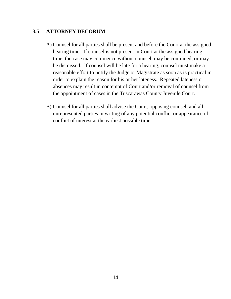## **3.5 ATTORNEY DECORUM**

- A) Counsel for all parties shall be present and before the Court at the assigned hearing time. If counsel is not present in Court at the assigned hearing time, the case may commence without counsel, may be continued, or may be dismissed. If counsel will be late for a hearing, counsel must make a reasonable effort to notify the Judge or Magistrate as soon as is practical in order to explain the reason for his or her lateness. Repeated lateness or absences may result in contempt of Court and/or removal of counsel from the appointment of cases in the Tuscarawas County Juvenile Court.
- B) Counsel for all parties shall advise the Court, opposing counsel, and all unrepresented parties in writing of any potential conflict or appearance of conflict of interest at the earliest possible time.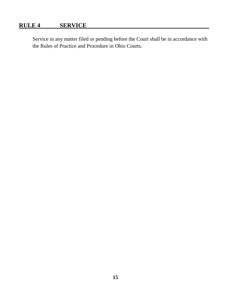## **RULE 4 SERVICE**

Service in any matter filed or pending before the Court shall be in accordance with the Rules of Practice and Procedure in Ohio Courts.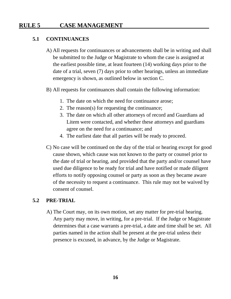## **RULE 5 CASE MANAGEMENT**

#### **5.1 CONTINUANCES**

- A) All requests for continuances or advancements shall be in writing and shall be submitted to the Judge or Magistrate to whom the case is assigned at the earliest possible time, at least fourteen (14) working days prior to the date of a trial, seven (7) days prior to other hearings, unless an immediate emergency is shown, as outlined below in section C.
- B) All requests for continuances shall contain the following information:
	- 1. The date on which the need for continuance arose;
	- 2. The reason(s) for requesting the continuance;
	- 3. The date on which all other attorneys of record and Guardians ad Litem were contacted, and whether these attorneys and guardians agree on the need for a continuance; and
	- 4. The earliest date that all parties will be ready to proceed.
- C) No case will be continued on the day of the trial or hearing except for good cause shown, which cause was not known to the party or counsel prior to the date of trial or hearing, and provided that the party and/or counsel have used due diligence to be ready for trial and have notified or made diligent efforts to notify opposing counsel or party as soon as they became aware of the necessity to request a continuance. This rule may not be waived by consent of counsel.

#### **5.2 PRE-TRIAL**

A) The Court may, on its own motion, set any matter for pre-trial hearing. Any party may move, in writing, for a pre-trial. If the Judge or Magistrate determines that a case warrants a pre-trial, a date and time shall be set. All parties named in the action shall be present at the pre-trial unless their presence is excused, in advance, by the Judge or Magistrate.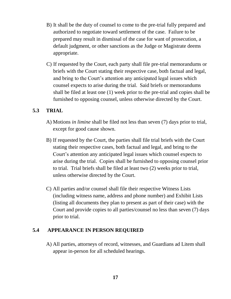- B) It shall be the duty of counsel to come to the pre-trial fully prepared and authorized to negotiate toward settlement of the case. Failure to be prepared may result in dismissal of the case for want of prosecution, a default judgment, or other sanctions as the Judge or Magistrate deems appropriate.
- C) If requested by the Court, each party shall file pre-trial memorandums or briefs with the Court stating their respective case, both factual and legal, and bring to the Court's attention any anticipated legal issues which counsel expects to arise during the trial. Said briefs or memorandums shall be filed at least one (1) week prior to the pre-trial and copies shall be furnished to opposing counsel, unless otherwise directed by the Court.

## **5.3 TRIAL**

- A) Motions *in limine* shall be filed not less than seven (7) days prior to trial, except for good cause shown.
- B) If requested by the Court, the parties shall file trial briefs with the Court stating their respective cases, both factual and legal, and bring to the Court's attention any anticipated legal issues which counsel expects to arise during the trial. Copies shall be furnished to opposing counsel prior to trial. Trial briefs shall be filed at least two (2) weeks prior to trial, unless otherwise directed by the Court.
- C) All parties and/or counsel shall file their respective Witness Lists (including witness name, address and phone number) and Exhibit Lists (listing all documents they plan to present as part of their case) with the Court and provide copies to all parties/counsel no less than seven (7) days prior to trial.

## **5.4 APPEARANCE IN PERSON REQUIRED**

A) All parties, attorneys of record, witnesses, and Guardians ad Litem shall appear in-person for all scheduled hearings.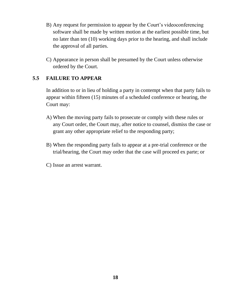- B) Any request for permission to appear by the Court's videoconferencing software shall be made by written motion at the earliest possible time, but no later than ten (10) working days prior to the hearing, and shall include the approval of all parties.
- C) Appearance in person shall be presumed by the Court unless otherwise ordered by the Court.

## **5.5 FAILURE TO APPEAR**

In addition to or in lieu of holding a party in contempt when that party fails to appear within fifteen (15) minutes of a scheduled conference or hearing, the Court may:

- A) When the moving party fails to prosecute or comply with these rules or any Court order, the Court may, after notice to counsel, dismiss the case or grant any other appropriate relief to the responding party;
- B) When the responding party fails to appear at a pre-trial conference or the trial/hearing, the Court may order that the case will proceed ex parte; or
- C) Issue an arrest warrant.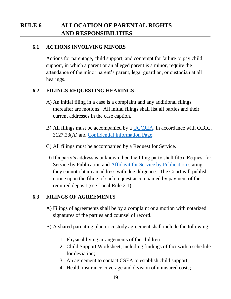## **RULE 6 ALLOCATION OF PARENTAL RIGHTS AND RESPONSIBILITIES**

#### **6.1 ACTIONS INVOLVING MINORS**

Actions for parentage, child support, and contempt for failure to pay child support, in which a parent or an alleged parent is a minor, require the attendance of the minor parent's parent, legal guardian, or custodian at all hearings.

#### **6.2 FILINGS REQUESTING HEARINGS**

- A) An initial filing in a case is a complaint and any additional filings thereafter are motions. All initial filings shall list all parties and their current addresses in the case caption.
- B) All filings must be accompanied by a [UCCJEA,](http://www.co.tuscarawas.oh.us/Courts/media/1692/uccjea.pdf) in accordance with O.R.C. 3127.23(A) and [Confidential Information Page.](http://www.co.tuscarawas.oh.us/Courts/media/1588/confidentialinformationpage.pdf)
- C) All filings must be accompanied by a Request for Service.
- D) If a party's address is unknown then the filing party shall file a Request for Service by Publication and [Affidavit for Service by Publication](http://www.co.tuscarawas.oh.us/Courts/media/1585/publication-affidavit.pdf) stating they cannot obtain an address with due diligence. The Court will publish notice upon the filing of such request accompanied by payment of the required deposit (see Local Rule 2.1).

#### **6.3 FILINGS OF AGREEMENTS**

- A) Filings of agreements shall be by a complaint or a motion with notarized signatures of the parties and counsel of record.
- B) A shared parenting plan or custody agreement shall include the following:
	- 1. Physical living arrangements of the children;
	- 2. Child Support Worksheet, including findings of fact with a schedule for deviation;
	- 3. An agreement to contact CSEA to establish child support;
	- 4. Health insurance coverage and division of uninsured costs;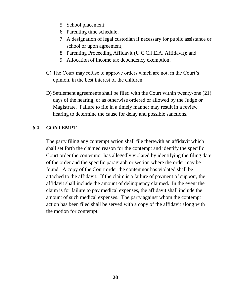- 5. School placement;
- 6. Parenting time schedule;
- 7. A designation of legal custodian if necessary for public assistance or school or upon agreement;
- 8. Parenting Proceeding Affidavit (U.C.C.J.E.A. Affidavit); and
- 9. Allocation of income tax dependency exemption.
- C) The Court may refuse to approve orders which are not, in the Court's opinion, in the best interest of the children.
- D) Settlement agreements shall be filed with the Court within twenty-one (21) days of the hearing, or as otherwise ordered or allowed by the Judge or Magistrate. Failure to file in a timely manner may result in a review hearing to determine the cause for delay and possible sanctions.

## **6.4 CONTEMPT**

The party filing any contempt action shall file therewith an affidavit which shall set forth the claimed reason for the contempt and identify the specific Court order the contemnor has allegedly violated by identifying the filing date of the order and the specific paragraph or section where the order may be found. A copy of the Court order the contemnor has violated shall be attached to the affidavit. If the claim is a failure of payment of support, the affidavit shall include the amount of delinquency claimed. In the event the claim is for failure to pay medical expenses, the affidavit shall include the amount of such medical expenses. The party against whom the contempt action has been filed shall be served with a copy of the affidavit along with the motion for contempt.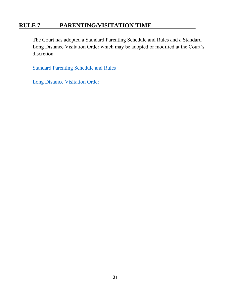## **RULE 7 PARENTING/VISITATION TIME**

The Court has adopted a Standard Parenting Schedule and Rules and a Standard Long Distance Visitation Order which may be adopted or modified at the Court's discretion.

[Standard Parenting Schedule and Rules](http://www.co.tuscarawas.oh.us/Courts/media/1704/standard-parenting-schedule-and-rules-2018.pdf)

[Long Distance Visitation Order](http://www.co.tuscarawas.oh.us/Courts/media/1705/standard-long-distance-visitation-order.pdf)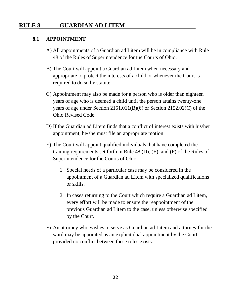## **RULE 8 GUARDIAN AD LITEM**

#### **8.1 APPOINTMENT**

- A) All appointments of a Guardian ad Litem will be in compliance with Rule 48 of the Rules of Superintendence for the Courts of Ohio.
- B) The Court will appoint a Guardian ad Litem when necessary and appropriate to protect the interests of a child or whenever the Court is required to do so by statute.
- C) Appointment may also be made for a person who is older than eighteen years of age who is deemed a child until the person attains twenty-one years of age under Section 2151.011(B)(6) or Section 2152.02(C) of the Ohio Revised Code.
- D) If the Guardian ad Litem finds that a conflict of interest exists with his/her appointment, he/she must file an appropriate motion.
- E) The Court will appoint qualified individuals that have completed the training requirements set forth in Rule 48 (D), (E), and (F) of the Rules of Superintendence for the Courts of Ohio.
	- 1. Special needs of a particular case may be considered in the appointment of a Guardian ad Litem with specialized qualifications or skills.
	- 2. In cases returning to the Court which require a Guardian ad Litem, every effort will be made to ensure the reappointment of the previous Guardian ad Litem to the case, unless otherwise specified by the Court.
- F) An attorney who wishes to serve as Guardian ad Litem and attorney for the ward may be appointed as an explicit dual appointment by the Court, provided no conflict between these roles exists.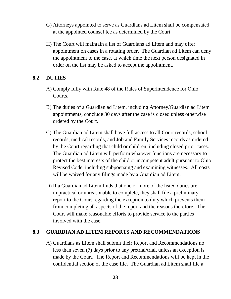- G) Attorneys appointed to serve as Guardians ad Litem shall be compensated at the appointed counsel fee as determined by the Court.
- H) The Court will maintain a list of Guardians ad Litem and may offer appointment on cases in a rotating order. The Guardian ad Litem can deny the appointment to the case, at which time the next person designated in order on the list may be asked to accept the appointment.

#### **8.2 DUTIES**

- A) Comply fully with Rule 48 of the Rules of Superintendence for Ohio Courts.
- B) The duties of a Guardian ad Litem, including Attorney/Guardian ad Litem appointments, conclude 30 days after the case is closed unless otherwise ordered by the Court.
- C) The Guardian ad Litem shall have full access to all Court records, school records, medical records, and Job and Family Services records as ordered by the Court regarding that child or children, including closed prior cases. The Guardian ad Litem will perform whatever functions are necessary to protect the best interests of the child or incompetent adult pursuant to Ohio Revised Code, including subpoenaing and examining witnesses. All costs will be waived for any filings made by a Guardian ad Litem.
- D) If a Guardian ad Litem finds that one or more of the listed duties are impractical or unreasonable to complete, they shall file a preliminary report to the Court regarding the exception to duty which prevents them from completing all aspects of the report and the reasons therefore. The Court will make reasonable efforts to provide service to the parties involved with the case.

#### **8.3 GUARDIAN AD LITEM REPORTS AND RECOMMENDATIONS**

A) Guardians as Litem shall submit their Report and Recommendations no less than seven (7) days prior to any pretrial/trial, unless an exception is made by the Court. The Report and Recommendations will be kept in the confidential section of the case file. The Guardian ad Litem shall file a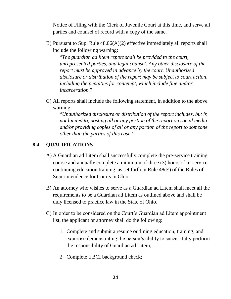Notice of Filing with the Clerk of Juvenile Court at this time, and serve all parties and counsel of record with a copy of the same.

B) Pursuant to Sup. Rule 48.06(A)(2) effective immediately all reports shall include the following warning:

"*The guardian ad litem report shall be provided to the court, unrepresented parties, and legal counsel. Any other disclosure of the report must be approved in advance by the court. Unauthorized disclosure or distribution of the report may be subject to court action, including the penalties for contempt, which include fine and/or incarceration.*"

C) All reports shall include the following statement, in addition to the above warning:

"*Unauthorized disclosure or distribution of the report includes, but is not limited to, posting all or any portion of the report on social media and/or providing copies of all or any portion of the report to someone other than the parties of this case.*"

## **8.4 QUALIFICATIONS**

- A) A Guardian ad Litem shall successfully complete the pre-service training course and annually complete a minimum of three (3) hours of in-service continuing education training, as set forth in Rule 48(E) of the Rules of Superintendence for Courts in Ohio.
- B) An attorney who wishes to serve as a Guardian ad Litem shall meet all the requirements to be a Guardian ad Litem as outlined above and shall be duly licensed to practice law in the State of Ohio.
- C) In order to be considered on the Court's Guardian ad Litem appointment list, the applicant or attorney shall do the following:
	- 1. Complete and submit a resume outlining education, training, and expertise demonstrating the person's ability to successfully perform the responsibility of Guardian ad Litem;
	- 2. Complete a BCI background check;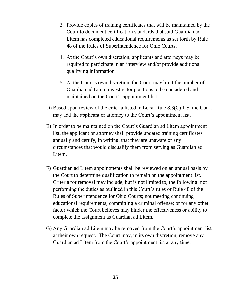- 3. Provide copies of training certificates that will be maintained by the Court to document certification standards that said Guardian ad Litem has completed educational requirements as set forth by Rule 48 of the Rules of Superintendence for Ohio Courts.
- 4. At the Court's own discretion, applicants and attorneys may be required to participate in an interview and/or provide additional qualifying information.
- 5. At the Court's own discretion, the Court may limit the number of Guardian ad Litem investigator positions to be considered and maintained on the Court's appointment list.
- D) Based upon review of the criteria listed in Local Rule 8.3(C) 1-5, the Court may add the applicant or attorney to the Court's appointment list.
- E) In order to be maintained on the Court's Guardian ad Litem appointment list, the applicant or attorney shall provide updated training certificates annually and certify, in writing, that they are unaware of any circumstances that would disqualify them from serving as Guardian ad Litem.
- F) Guardian ad Litem appointments shall be reviewed on an annual basis by the Court to determine qualification to remain on the appointment list. Criteria for removal may include, but is not limited to, the following: not performing the duties as outlined in this Court's rules or Rule 48 of the Rules of Superintendence for Ohio Courts; not meeting continuing educational requirements; committing a criminal offense; or for any other factor which the Court believes may hinder the effectiveness or ability to complete the assignment as Guardian ad Litem.
- G) Any Guardian ad Litem may be removed from the Court's appointment list at their own request. The Court may, in its own discretion, remove any Guardian ad Litem from the Court's appointment list at any time.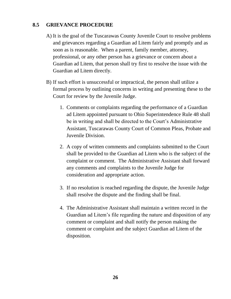## **8.5 GRIEVANCE PROCEDURE**

- A) It is the goal of the Tuscarawas County Juvenile Court to resolve problems and grievances regarding a Guardian ad Litem fairly and promptly and as soon as is reasonable. When a parent, family member, attorney, professional, or any other person has a grievance or concern about a Guardian ad Litem, that person shall try first to resolve the issue with the Guardian ad Litem directly.
- B) If such effort is unsuccessful or impractical, the person shall utilize a formal process by outlining concerns in writing and presenting these to the Court for review by the Juvenile Judge.
	- 1. Comments or complaints regarding the performance of a Guardian ad Litem appointed pursuant to Ohio Superintendence Rule 48 shall be in writing and shall be directed to the Court's Administrative Assistant, Tuscarawas County Court of Common Pleas, Probate and Juvenile Division.
	- 2. A copy of written comments and complaints submitted to the Court shall be provided to the Guardian ad Litem who is the subject of the complaint or comment. The Administrative Assistant shall forward any comments and complaints to the Juvenile Judge for consideration and appropriate action.
	- 3. If no resolution is reached regarding the dispute, the Juvenile Judge shall resolve the dispute and the finding shall be final.
	- 4. The Administrative Assistant shall maintain a written record in the Guardian ad Litem's file regarding the nature and disposition of any comment or complaint and shall notify the person making the comment or complaint and the subject Guardian ad Litem of the disposition.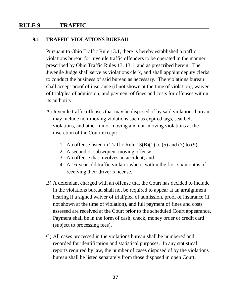## **RULE 9 TRAFFIC**

#### **9.1 TRAFFIC VIOLATIONS BUREAU**

Pursuant to Ohio Traffic Rule 13.1, there is hereby established a traffic violations bureau for juvenile traffic offenders to be operated in the manner prescribed by Ohio Traffic Rules 13, 13.1, and as prescribed herein. The Juvenile Judge shall serve as violations clerk, and shall appoint deputy clerks to conduct the business of said bureau as necessary. The violations bureau shall accept proof of insurance (if not shown at the time of violation), waiver of trial/plea of admission, and payment of fines and costs for offenses within its authority.

- A) Juvenile traffic offenses that may be disposed of by said violations bureau may include non-moving violations such as expired tags, seat belt violations, and other minor moving and non-moving violations at the discretion of the Court except:
	- 1. An offense listed in Traffic Rule  $13(B)(1)$  to (5) and (7) to (9);
	- 2. A second or subsequent moving offense;
	- 3. An offense that involves an accident; and
	- 4. A 16-year-old traffic violator who is within the first six months of receiving their driver's license.
- B) A defendant charged with an offense that the Court has decided to include in the violations bureau shall not be required to appear at an arraignment hearing if a signed waiver of trial/plea of admission, proof of insurance (if not shown at the time of violation), and full payment of fines and costs assessed are received at the Court prior to the scheduled Court appearance. Payment shall be in the form of cash, check, money order or credit card (subject to processing fees).
- C) All cases processed in the violations bureau shall be numbered and recorded for identification and statistical purposes. In any statistical reports required by law, the number of cases disposed of by the violations bureau shall be listed separately from those disposed in open Court.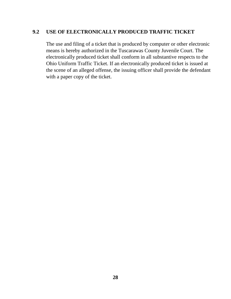## **9.2 USE OF ELECTRONICALLY PRODUCED TRAFFIC TICKET**

The use and filing of a ticket that is produced by computer or other electronic means is hereby authorized in the Tuscarawas County Juvenile Court. The electronically produced ticket shall conform in all substantive respects to the Ohio Uniform Traffic Ticket. If an electronically produced ticket is issued at the scene of an alleged offense, the issuing officer shall provide the defendant with a paper copy of the ticket.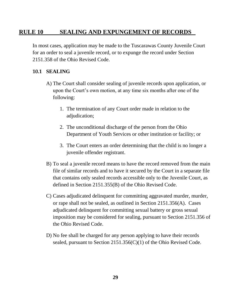## **RULE 10 SEALING AND EXPUNGEMENT OF RECORDS**

In most cases, application may be made to the Tuscarawas County Juvenile Court for an order to seal a juvenile record, or to expunge the record under Section 2151.358 of the Ohio Revised Code.

#### **10.1 SEALING**

- A) The Court shall consider sealing of juvenile records upon application, or upon the Court's own motion, at any time six months after one of the following:
	- 1. The termination of any Court order made in relation to the adjudication;
	- 2. The unconditional discharge of the person from the Ohio Department of Youth Services or other institution or facility; or
	- 3. The Court enters an order determining that the child is no longer a juvenile offender registrant.
- B) To seal a juvenile record means to have the record removed from the main file of similar records and to have it secured by the Court in a separate file that contains only sealed records accessible only to the Juvenile Court, as defined in Section 2151.355(B) of the Ohio Revised Code.
- C) Cases adjudicated delinquent for committing aggravated murder, murder, or rape shall not be sealed, as outlined in Section 2151.356(A). Cases adjudicated delinquent for committing sexual battery or gross sexual imposition may be considered for sealing, pursuant to Section 2151.356 of the Ohio Revised Code.
- D) No fee shall be charged for any person applying to have their records sealed, pursuant to Section 2151.356(C)(1) of the Ohio Revised Code.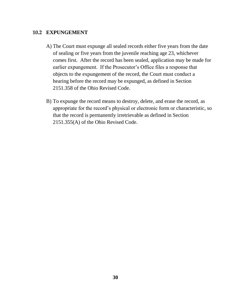#### **10.2 EXPUNGEMENT**

- A) The Court must expunge all sealed records either five years from the date of sealing or five years from the juvenile reaching age 23, whichever comes first. After the record has been sealed, application may be made for earlier expungement. If the Prosecutor's Office files a response that objects to the expungement of the record, the Court must conduct a hearing before the record may be expunged, as defined in Section 2151.358 of the Ohio Revised Code.
- B) To expunge the record means to destroy, delete, and erase the record, as appropriate for the record's physical or electronic form or characteristic, so that the record is permanently irretrievable as defined in Section 2151.355(A) of the Ohio Revised Code.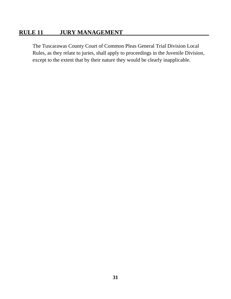## **RULE 11 JURY MANAGEMENT**

The Tuscarawas County Court of Common Pleas General Trial Division Local Rules, as they relate to juries, shall apply to proceedings in the Juvenile Division, except to the extent that by their nature they would be clearly inapplicable.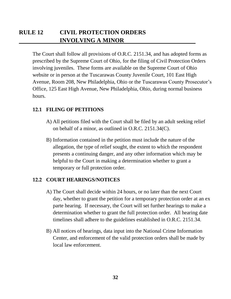The Court shall follow all provisions of O.R.C. 2151.34, and has adopted forms as prescribed by the Supreme Court of Ohio, for the filing of Civil Protection Orders involving juveniles. These forms are available on the Supreme Court of Ohio website or in person at the Tuscarawas County Juvenile Court, 101 East High Avenue, Room 208, New Philadelphia, Ohio or the Tuscarawas County Prosecutor's Office, 125 East High Avenue, New Philadelphia, Ohio, during normal business hours.

## **12.1 FILING OF PETITIONS**

- A) All petitions filed with the Court shall be filed by an adult seeking relief on behalf of a minor, as outlined in O.R.C. 2151.34(C).
- B) Information contained in the petition must include the nature of the allegation, the type of relief sought, the extent to which the respondent presents a continuing danger, and any other information which may be helpful to the Court in making a determination whether to grant a temporary or full protection order.

#### **12.2 COURT HEARINGS/NOTICES**

- A) The Court shall decide within 24 hours, or no later than the next Court day, whether to grant the petition for a temporary protection order at an ex parte hearing. If necessary, the Court will set further hearings to make a determination whether to grant the full protection order. All hearing date timelines shall adhere to the guidelines established in O.R.C. 2151.34.
- B) All notices of hearings, data input into the National Crime Information Center, and enforcement of the valid protection orders shall be made by local law enforcement.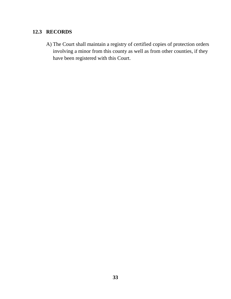## **12.3 RECORDS**

A) The Court shall maintain a registry of certified copies of protection orders involving a minor from this county as well as from other counties, if they have been registered with this Court.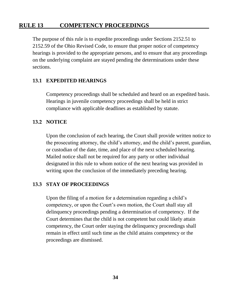## **RULE 13 COMPETENCY PROCEEDINGS**

The purpose of this rule is to expedite proceedings under Sections 2152.51 to 2152.59 of the Ohio Revised Code, to ensure that proper notice of competency hearings is provided to the appropriate persons, and to ensure that any proceedings on the underlying complaint are stayed pending the determinations under these sections.

#### **13.1 EXPEDITED HEARINGS**

Competency proceedings shall be scheduled and heard on an expedited basis. Hearings in juvenile competency proceedings shall be held in strict compliance with applicable deadlines as established by statute.

#### **13.2 NOTICE**

Upon the conclusion of each hearing, the Court shall provide written notice to the prosecuting attorney, the child's attorney, and the child's parent, guardian, or custodian of the date, time, and place of the next scheduled hearing. Mailed notice shall not be required for any party or other individual designated in this rule to whom notice of the next hearing was provided in writing upon the conclusion of the immediately preceding hearing.

#### **13.3 STAY OF PROCEEDINGS**

Upon the filing of a motion for a determination regarding a child's competency, or upon the Court's own motion, the Court shall stay all delinquency proceedings pending a determination of competency. If the Court determines that the child is not competent but could likely attain competency, the Court order staying the delinquency proceedings shall remain in effect until such time as the child attains competency or the proceedings are dismissed.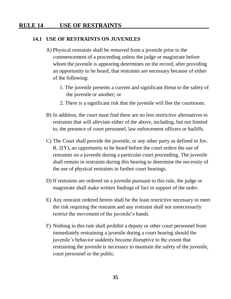## **RULE 14 USE OF RESTRAINTS**

#### **14.1 USE OF RESTRAINTS ON JUVENILES**

- A) Physical restraints shall be removed from a juvenile prior to the commencement of a proceeding unless the judge or magistrate before whom the juvenile is appearing determines on the record, after providing an opportunity to be heard, that restraints are necessary because of either of the following:
	- 1. The juvenile presents a current and significant threat to the safety of the juvenile or another; or
	- 2. There is a significant risk that the juvenile will flee the courtroom.
- B) In addition, the court must find there are no less restrictive alternatives to restraints that will alleviate either of the above, including, but not limited to, the presence of court personnel, law enforcement officers or bailiffs.
- C) The Court shall provide the juvenile, or any other party as defined in Juv. R. 2(Y), an opportunity to be heard before the court orders the use of restraints on a juvenile during a particular court proceeding. The juvenile shall remain in restraints during this hearing to determine the necessity of the use of physical restraints in further court hearings.
- D) If restraints are ordered on a juvenile pursuant to this rule, the judge or magistrate shall make written findings of fact in support of the order.
- E) Any restraint ordered herein shall be the least restrictive necessary to meet the risk requiring the restraint and any restraint shall not unnecessarily restrict the movement of the juvenile's hands.
- F) Nothing in this rule shall prohibit a deputy or other court personnel from immediately restraining a juvenile during a court hearing should the juvenile's behavior suddenly become disruptive to the extent that restraining the juvenile is necessary to maintain the safety of the juvenile, court personnel or the public.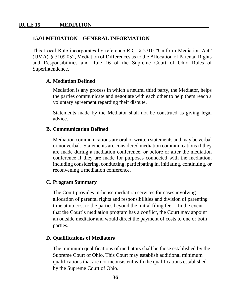#### **15.01 MEDIATION – GENERAL INFORMATION**

This Local Rule incorporates by reference R.C. § 2710 "Uniform Mediation Act" (UMA), § 3109.052, Mediation of Differences as to the Allocation of Parental Rights and Responsibilities and Rule 16 of the Supreme Court of Ohio Rules of Superintendence.

#### **A. Mediation Defined**

Mediation is any process in which a neutral third party, the Mediator, helps the parties communicate and negotiate with each other to help them reach a voluntary agreement regarding their dispute.

Statements made by the Mediator shall not be construed as giving legal advice.

#### **B. Communication Defined**

Mediation communications are oral or written statements and may be verbal or nonverbal. Statements are considered mediation communications if they are made during a mediation conference, or before or after the mediation conference if they are made for purposes connected with the mediation, including considering, conducting, participating in, initiating, continuing, or reconvening a mediation conference.

#### **C. Program Summary**

The Court provides in-house mediation services for cases involving allocation of parental rights and responsibilities and division of parenting time at no cost to the parties beyond the initial filing fee. In the event that the Court's mediation program has a conflict, the Court may appoint an outside mediator and would direct the payment of costs to one or both parties.

#### **D. Qualifications of Mediators**

The minimum qualifications of mediators shall be those established by the Supreme Court of Ohio. This Court may establish additional minimum qualifications that are not inconsistent with the qualifications established by the Supreme Court of Ohio.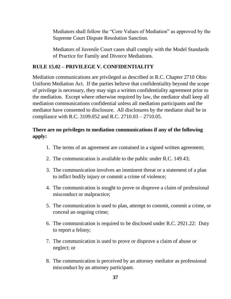Mediators shall follow the "Core Values of Mediation" as approved by the Supreme Court Dispute Resolution Sanction.

Mediators of Juvenile Court cases shall comply with the Model Standards of Practice for Family and Divorce Mediations.

## **RULE 15.02 – PRIVILEGE V. CONFIDENTIALITY**

Mediation communications are privileged as described in R.C. Chapter 2710 Ohio Uniform Mediation Act. If the parties believe that confidentiality beyond the scope of privilege is necessary, they may sign a written confidentiality agreement prior to the mediation. Except where otherwise required by law, the mediator shall keep all mediation communications confidential unless all mediation participants and the mediator have consented to disclosure. All disclosures by the mediator shall be in compliance with R.C. 3109.052 and R.C. 2710.03 – 2710.05.

## **There are no privileges to mediation communications if any of the following apply:**

- 1. The terms of an agreement are contained in a signed written agreement;
- 2. The communication is available to the public under R.C. 149.43;
- 3. The communication involves an imminent threat or a statement of a plan to inflict bodily injury or commit a crime of violence;
- 4. The communication is sought to prove or disprove a claim of professional misconduct or malpractice;
- 5. The communication is used to plan, attempt to commit, commit a crime, or conceal an ongoing crime;
- 6. The communication is required to be disclosed under R.C. 2921.22: Duty to report a felony;
- 7. The communication is used to prove or disprove a claim of abuse or neglect; or
- 8. The communication is perceived by an attorney mediator as professional misconduct by an attorney participant.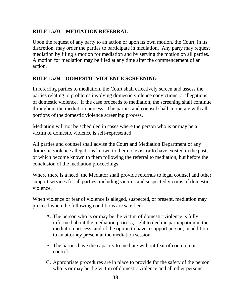## **RULE 15.03 – MEDIATION REFERRAL**

Upon the request of any party to an action or upon its own motion, the Court, in its discretion, may order the parties to participate in mediation. Any party may request mediation by filing a motion for mediation and by serving the motion on all parties. A motion for mediation may be filed at any time after the commencement of an action.

## **RULE 15.04 – DOMESTIC VIOLENCE SCREENING**

In referring parties to mediation, the Court shall effectively screen and assess the parties relating to problems involving domestic violence convictions or allegations of domestic violence. If the case proceeds to mediation, the screening shall continue throughout the mediation process. The parties and counsel shall cooperate with all portions of the domestic violence screening process.

Mediation will not be scheduled in cases where the person who is or may be a victim of domestic violence is self-represented.

All parties and counsel shall advise the Court and Mediation Department of any domestic violence allegations known to them to exist or to have existed in the past, or which become known to them following the referral to mediation, but before the conclusion of the mediation proceedings.

Where there is a need, the Mediator shall provide referrals to legal counsel and other support services for all parties, including victims and suspected victims of domestic violence.

When violence or fear of violence is alleged, suspected, or present, mediation may proceed when the following conditions are satisfied:

- A. The person who is or may be the victim of domestic violence is fully informed about the mediation process, right to decline participation in the mediation process, and of the option to have a support person, in addition to an attorney present at the mediation session.
- B. The parties have the capacity to mediate without fear of coercion or control.
- C. Appropriate procedures are in place to provide for the safety of the person who is or may be the victim of domestic violence and all other persons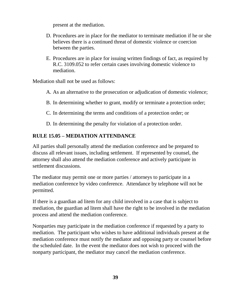present at the mediation.

- D. Procedures are in place for the mediator to terminate mediation if he or she believes there is a continued threat of domestic violence or coercion between the parties.
- E. Procedures are in place for issuing written findings of fact, as required by R.C. 3109.052 to refer certain cases involving domestic violence to mediation.

Mediation shall not be used as follows:

- A. As an alternative to the prosecution or adjudication of domestic violence;
- B. In determining whether to grant, modify or terminate a protection order;
- C. In determining the terms and conditions of a protection order; or
- D. In determining the penalty for violation of a protection order.

## **RULE 15.05 – MEDIATION ATTENDANCE**

All parties shall personally attend the mediation conference and be prepared to discuss all relevant issues, including settlement. If represented by counsel, the attorney shall also attend the mediation conference and actively participate in settlement discussions.

The mediator may permit one or more parties / attorneys to participate in a mediation conference by video conference. Attendance by telephone will not be permitted.

If there is a guardian ad litem for any child involved in a case that is subject to mediation, the guardian ad litem shall have the right to be involved in the mediation process and attend the mediation conference.

Nonparties may participate in the mediation conference if requested by a party to mediation. The participant who wishes to have additional individuals present at the mediation conference must notify the mediator and opposing party or counsel before the scheduled date. In the event the mediator does not wish to proceed with the nonparty participant, the mediator may cancel the mediation conference.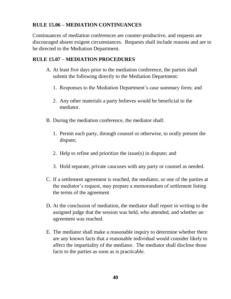## **RULE 15.06 – MEDIATION CONTINUANCES**

Continuances of mediation conferences are counter-productive, and requests are discouraged absent exigent circumstances. Requests shall include reasons and are to be directed to the Mediation Department.

## **RULE 15.07 – MEDIATION PROCEDURES**

- A. At least five days prior to the mediation conference, the parties shall submit the following directly to the Mediation Department:
	- 1. Responses to the Mediation Department's case summary form; and
	- 2. Any other materials a party believes would be beneficial to the mediator.
- B. During the mediation conference, the mediator shall:
	- 1. Permit each party, through counsel or otherwise, to orally present the dispute;
	- 2. Help to refine and prioritize the issue(s) in dispute; and
	- 3. Hold separate, private caucuses with any party or counsel as needed.
- C. If a settlement agreement is reached, the mediator, or one of the parties at the mediator's request, may prepare a memorandum of settlement listing the terms of the agreement
- D**.** At the conclusion of mediation, the mediator shall report in writing to the assigned judge that the session was held, who attended, and whether an agreement was reached.
- E. The mediator shall make a reasonable inquiry to determine whether there are any known facts that a reasonable individual would consider likely to affect the impartiality of the mediator. The mediator shall disclose those facts to the parties as soon as is practicable.